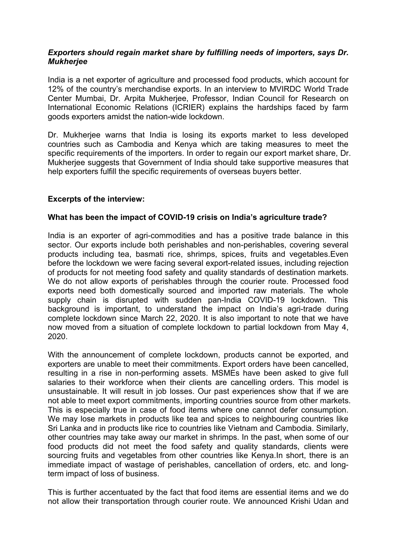### *Exporters should regain market share by fulfilling needs of importers, says Dr. Mukherjee*

India is a net exporter of agriculture and processed food products, which account for 12% of the country's merchandise exports. In an interview to MVIRDC World Trade Center Mumbai, Dr. Arpita Mukherjee, Professor, Indian Council for Research on International Economic Relations (ICRIER) explains the hardships faced by farm goods exporters amidst the nation-wide lockdown.

Dr. Mukherjee warns that India is losing its exports market to less developed countries such as Cambodia and Kenya which are taking measures to meet the specific requirements of the importers. In order to regain our export market share, Dr. Mukherjee suggests that Government of India should take supportive measures that help exporters fulfill the specific requirements of overseas buyers better.

# **Excerpts of the interview:**

### **What has been the impactof COVID-19 crisis on India's agriculture trade?**

India is an exporter of agri-commodities and has a positive trade balance in this sector. Our exports include both perishables and non-perishables, covering several products including tea, basmati rice, shrimps, spices, fruits and vegetables.Even before the lockdown we were facing several export-related issues, including rejection of products for not meeting food safety and quality standards of destination markets. We do not allow exports of perishables through the courier route. Processed food exports need both domestically sourced and imported raw materials. The whole supply chain is disrupted with sudden pan-India COVID-19 lockdown. This background is important, to understand the impact on India's agri-trade during complete lockdown since March 22, 2020. It is also important to note that we have now moved from a situation of complete lockdown to partial lockdown from May 4, 2020.

With the announcement of complete lockdown, products cannot be exported, and exporters are unable to meet their commitments. Export orders have been cancelled, resulting in a rise in non-performing assets. MSMEs have been asked to give full salaries to their workforce when their clients are cancelling orders. This model is unsustainable. It will result in job losses. Our past experiences show that if we are not able to meet export commitments, importing countries source from other markets. This is especially true in case of food items where one cannot defer consumption. We may lose markets in products like tea and spices to neighbouring countries like Sri Lanka and in products like rice to countries like Vietnam and Cambodia. Similarly, other countries may take away our market in shrimps. In the past, when some of our food products did not meet the food safety and quality standards, clients were sourcing fruits and vegetables from other countries like Kenya.In short, there is an immediate impact of wastage of perishables, cancellation of orders, etc. and longterm impact of loss of business.

This is further accentuated by the fact that food items are essential items and we do not allow their transportation through courier route. We announced Krishi Udan and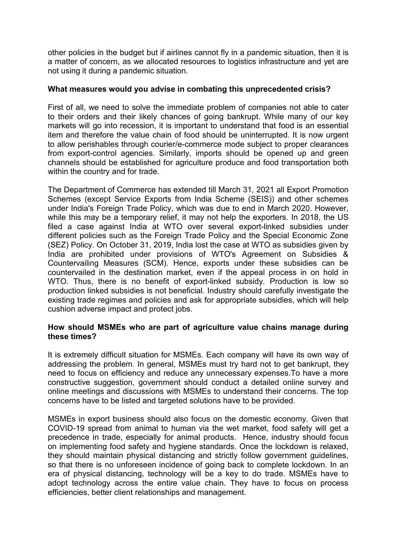other policies in the budget but if airlines cannot fly in a pandemic situation, then it is a matter of concern, as we allocated resources to logistics infrastructure and yet are not using it during a pandemic situation.

### **What measures would you advise in combating this unprecedented crisis?**

First of all, we need to solve the immediate problem of companies not able to cater to their orders and their likely chances of going bankrupt. While many of our key markets will go into recession, it is important to understand that food is an essential item and therefore the value chain of food should be uninterrupted. It is now urgent to allow perishables through courier/e-commerce mode subject to proper clearances from export-control agencies. Similarly, imports should be opened up and green channels should be established for agriculture produce and food transportation both within the country and for trade.

The Department of Commerce has extended till March 31, 2021 all Export Promotion Schemes (except Service Exports from India Scheme (SEIS)) and other schemes under India's Foreign Trade Policy, which was due to end in March 2020. However, while this may be a temporary relief, it may not help the exporters. In 2018, the US filed a case against India at WTO over several export-linked subsidies under different policies such as the Foreign Trade Policy and the Special Economic Zone (SEZ) Policy. On October 31, 2019, India lost the case at WTO as subsidies given by India are prohibited under provisions of WTO's Agreement on Subsidies & Countervailing Measures (SCM). Hence, exports under these subsidies can be countervailed in the destination market, even if the appeal process in on hold in WTO. Thus, there is no benefit of export-linked subsidy. Production is low so production linked subsidies is not beneficial. Industry should carefully investigate the existing trade regimes and policies and ask for appropriate subsidies, which will help cushion adverse impact and protect jobs.

# **How should MSMEs who are part of agriculture value chains manage during these times?**

It is extremely difficult situation for MSMEs. Each company will have its own way of addressing the problem. In general, MSMEs must try hard not to get bankrupt, they need to focus on efficiency and reduce any unnecessary expenses.To have a more constructive suggestion, government should conduct a detailed online survey and online meetings and discussions with MSMEs to understand their concerns. The top concerns have to be listed and targeted solutions have to be provided.

MSMEs in export business should also focus on the domestic economy. Given that COVID-19 spread from animal to human via the wet market, food safety will get a precedence in trade, especially for animal products. Hence, industry should focus on implementing food safety and hygiene standards. Once the lockdown is relaxed, they should maintain physical distancing and strictly follow government guidelines, so that there is no unforeseen incidence of going back to complete lockdown. In an era of physical distancing, technology will be a key to do trade. MSMEs have to adopt technology across the entire value chain. They have to focus on process efficiencies, better client relationships and management.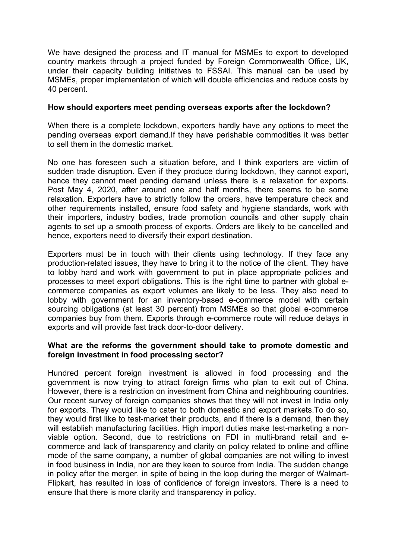We have designed the process and IT manual for MSMEs to export to developed country markets through a project funded by Foreign Commonwealth Office, UK, under their capacity building initiatives to FSSAI. This manual can be used by MSMEs, proper implementation of which will double efficiencies and reduce costs by 40 percent.

#### **How should exporters meet pending overseas exports after the lockdown?**

When there is a complete lockdown, exporters hardly have any options to meet the pending overseas export demand.If they have perishable commodities it was better to sell them in the domestic market.

No one has foreseen such a situation before, and I think exporters are victim of sudden trade disruption. Even if they produce during lockdown, they cannot export, hence they cannot meet pending demand unless there is a relaxation for exports. Post May 4, 2020, after around one and half months, there seems to be some relaxation. Exporters have to strictly follow the orders, have temperature check and other requirements installed, ensure food safety and hygiene standards, work with their importers, industry bodies, trade promotion councils and other supply chain agents to set up a smooth process of exports. Orders are likely to be cancelled and hence, exporters need to diversify their export destination.

Exporters must be in touch with their clients using technology. If they face any production-related issues, they have to bring it to the notice of the client. They have to lobby hard and work with government to put in place appropriate policies and processes to meet export obligations. This is the right time to partner with global e commerce companies as export volumes are likely to be less. They also need to lobby with government for an inventory-based e-commerce model with certain sourcing obligations (at least 30 percent) from MSMEs so that global e-commerce companies buy from them. Exports through e-commerce route will reduce delays in exports and will provide fast track door-to-door delivery.

### **What are the reforms the government should take to promote domestic and foreign investment in food processing sector?**

Hundred percent foreign investment is allowed in food processing and the government is now trying to attract foreign firms who plan to exit out of China. However, there is a restriction on investment from China and neighbouring countries. Our recent survey of foreign companies shows that they will not invest in India only for exports. They would like to cater to both domestic and export markets.To do so, they would first like to test-market their products, and if there is a demand, then they will establish manufacturing facilities. High import duties make test-marketing a nonviable option. Second, due to restrictions on FDI in multi-brand retail and e commerce and lack of transparency and clarity on policy related to online and offline mode of the same company, a number of global companies are not willing to invest in food business in India, nor are they keen to source from India. The sudden change in policy after the merger, in spite of being in the loop during the merger of Walmart- Flipkart, has resulted in loss of confidence of foreign investors. There is a need to ensure that there is more clarity and transparency in policy.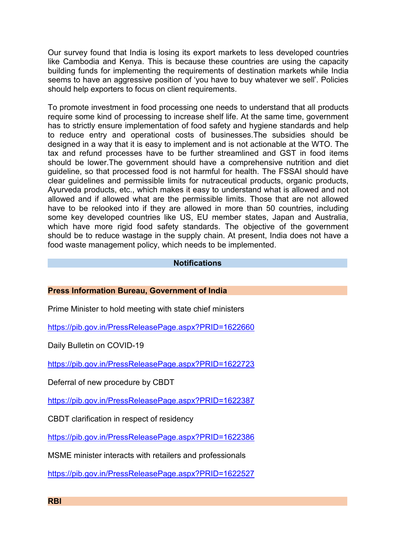Our survey found that India is losing its export markets to less developed countries like Cambodia and Kenya. This is because these countries are using the capacity building funds for implementing the requirements of destination markets while India seems to have an aggressive position of 'you have to buy whatever we sell'. Policies should help exporters to focus on client requirements.

To promote investment in food processing one needs to understand that all products require some kind of processing to increase shelf life. At the same time, government has to strictly ensure implementation of food safety and hygiene standards and help to reduce entry and operational costs of businesses.The subsidies should be designed in a way that it is easy to implement and is not actionable at the WTO. The tax and refund processes have to be further streamlined and GST in food items should be lower.The government should have a comprehensive nutrition and diet guideline, so that processed food is not harmful for health. The FSSAI should have clear guidelines and permissible limits for nutraceutical products, organic products, Ayurveda products, etc., which makes it easy to understand what is allowed and not allowed and if allowed what are the permissible limits. Those that are not allowed have to be relooked into if they are allowed in more than 50 countries, including some key developed countries like US, EU member states, Japan and Australia, which have more rigid food safety standards. The objective of the government should be to reduce wastage in the supply chain. At present, India does not have a food waste management policy, which needs to be implemented.

### **Notifications**

### **Press Information Bureau, Government of India**

Prime Minister to hold meeting with state chief ministers

<https://pib.gov.in/PressReleasePage.aspx?PRID=1622660>

Daily Bulletin on COVID-19

<https://pib.gov.in/PressReleasePage.aspx?PRID=1622723>

Deferral of new procedure by CBDT

<https://pib.gov.in/PressReleasePage.aspx?PRID=1622387>

CBDT clarification in respect of residency

<https://pib.gov.in/PressReleasePage.aspx?PRID=1622386>

MSME minister interacts with retailers and professionals

<https://pib.gov.in/PressReleasePage.aspx?PRID=1622527>

**RBI**